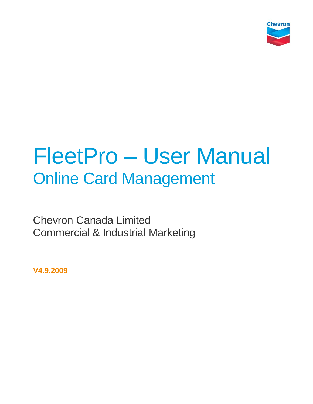

# FleetPro – User Manual Online Card Management

Chevron Canada Limited Commercial & Industrial Marketing

**V4.9.2009**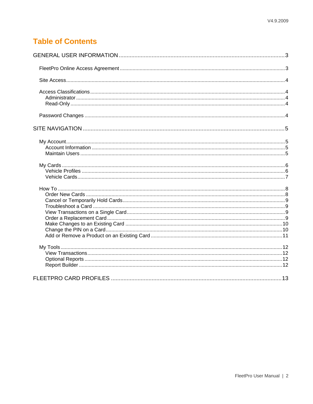# **Table of Contents**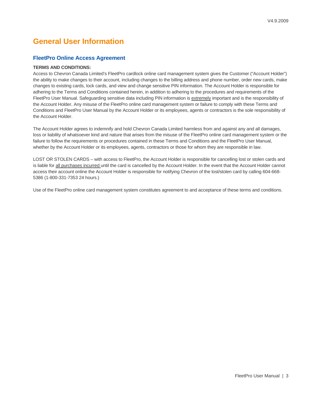# <span id="page-2-0"></span>**General User Information**

# **FleetPro Online Access Agreement**

# **TERMS AND CONDITIONS:**

Access to Chevron Canada Limited's FleetPro cardlock online card management system gives the Customer ("Account Holder") the ability to make changes to their account, including changes to the billing address and phone number, order new cards, make changes to existing cards, lock cards, and view and change sensitive PIN information. The Account Holder is responsible for adhering to the Terms and Conditions contained herein, in addition to adhering to the procedures and requirements of the FleetPro User Manual. Safeguarding sensitive data including PIN information is extremely important and is the responsibility of the Account Holder. Any misuse of the FleetPro online card management system or failure to comply with these Terms and Conditions and FleetPro User Manual by the Account Holder or its employees, agents or contractors is the sole responsibility of the Account Holder.

The Account Holder agrees to indemnify and hold Chevron Canada Limited harmless from and against any and all damages, loss or liability of whatsoever kind and nature that arises from the misuse of the FleetPro online card management system or the failure to follow the requirements or procedures contained in these Terms and Conditions and the FleetPro User Manual, whether by the Account Holder or its employees, agents, contractors or those for whom they are responsible in law.

LOST OR STOLEN CARDS – with access to FleetPro, the Account Holder is responsible for cancelling lost or stolen cards and is liable for all purchases incurred until the card is cancelled by the Account Holder. In the event that the Account Holder cannot access their account online the Account Holder is responsible for notifying Chevron of the lost/stolen card by calling 604-668- 5386 (1-800-331-7353 24 hours.)

Use of the FleetPro online card management system constitutes agreement to and acceptance of these terms and conditions.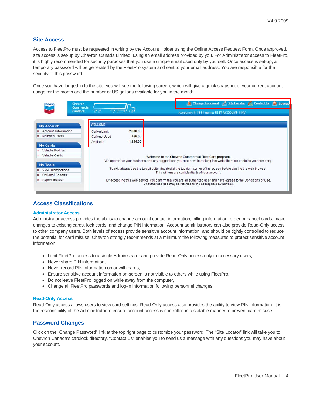# <span id="page-3-0"></span>**Site Access**

Access to FleetPro must be requested in writing by the Account Holder using the Online Access Request Form. Once approved, site access is set-up by Chevron Canada Limited, using an email address provided by you. For Administrator access to FleetPro, it is highly recommended for security purposes that you use a unique email used only by yourself. Once access is set-up, a temporary password will be generated by the FleetPro system and sent to your email address. You are responsible for the security of this password.

Once you have logged in to the site, you will see the following screen, which will give a quick snapshot of your current account usage for the month and the number of US gallons available for you in the month.



# **Access Classifications**

#### **Administrator Access**

Administrator access provides the ability to change account contact information, billing information, order or cancel cards, make changes to existing cards, lock cards, and change PIN information. Account administrators can also provide Read-Only access to other company users. Both levels of access provide sensitive account information, and should be tightly controlled to reduce the potential for card misuse. Chevron strongly recommends at a minimum the following measures to protect sensitive account information:

- Limit FleetPro access to a single Administrator and provide Read-Only access only to necessary users,
- Never share PIN information,
- Never record PIN information on or with cards,
- Ensure sensitive account information on-screen is not visible to others while using FleetPro,
- Do not leave FleetPro logged on while away from the computer,
- Change all FleetPro passwords and log-in information following personnel changes.

#### **Read-Only Access**

Read-Only access allows users to view card settings. Read-Only access also provides the ability to view PIN information. It is the responsibility of the Administrator to ensure account access is controlled in a suitable manner to prevent card misuse.

## **Password Changes**

Click on the "Change Password" link at the top right page to customize your password. The "Site Locator" link will take you to Chevron Canada's cardlock directory. "Contact Us" enables you to send us a message with any questions you may have about your account.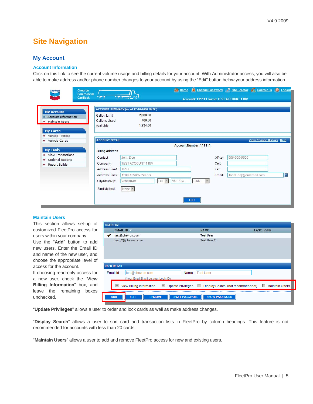# <span id="page-4-0"></span>**Site Navigation**

# **My Account**

#### **Account Information**

Click on this link to see the current volume usage and billing details for your account. With Administrator access, you will also be able to make address and/or phone number changes to your account by using the "Edit" button below your address information.

| Chevron                                                                                                  | <b>Chevron</b><br><b>Commercial</b>              |                                                                            | se.            |                                 |         | Home <b>T</b> Change Password <b>P</b> Site Locator <b>C</b> Contact Us <b>O</b> Loqout |                                 |   |
|----------------------------------------------------------------------------------------------------------|--------------------------------------------------|----------------------------------------------------------------------------|----------------|---------------------------------|---------|-----------------------------------------------------------------------------------------|---------------------------------|---|
|                                                                                                          | $\overline{y}$<br>Cardlock                       | 71 JLO                                                                     |                |                                 |         | Account#: 111111 Name: TEST ACCOUNT 1 INV                                               |                                 |   |
| <b>My Account</b><br>>> Account Information<br><b>Maintain Users</b><br>$\rightarrow$<br><b>My Cards</b> | <b>Gallon Limit</b><br>Gallons Used<br>Available | ACCOUNT SUMMARY (as of 12-18-2008 10:37)<br>2,000.00<br>766.00<br>1,234.00 |                |                                 |         |                                                                                         |                                 |   |
| » Vehicle Profiles<br>Vehicle Cards<br>$\rightarrow$                                                     | <b>ACCOUNT DETAIL</b>                            |                                                                            |                |                                 |         |                                                                                         | <b>View Change History Help</b> |   |
|                                                                                                          |                                                  |                                                                            |                | Account Number: 111111          |         |                                                                                         |                                 |   |
| <b>My Tools</b>                                                                                          | <b>Billing Address</b>                           |                                                                            |                |                                 |         |                                                                                         |                                 |   |
| » View Transactions<br>Optional Reports<br>$\rightarrow$                                                 | Contact:                                         | John Doe                                                                   |                |                                 | Office: | 555-555-5555                                                                            |                                 |   |
| » Report Builder                                                                                         | Company:                                         | <b>TEST ACCOUNT 1 INV</b>                                                  |                |                                 | Cell:   |                                                                                         |                                 |   |
|                                                                                                          | Address Line1:                                   | <b>TEST</b>                                                                |                |                                 | Fax:    |                                                                                         |                                 |   |
|                                                                                                          | Address Line2:                                   | 1500-1050 W Pender                                                         |                |                                 | Email:  | JohnDoe@youremail.com                                                                   |                                 | O |
|                                                                                                          | City/State/Zip:                                  | BC -<br>Vancouver                                                          | <b>V6E 3T4</b> | CAN<br>$\overline{\phantom{m}}$ |         |                                                                                         |                                 |   |
|                                                                                                          | Stmt Method:                                     | None -                                                                     |                |                                 |         |                                                                                         |                                 |   |
|                                                                                                          |                                                  |                                                                            |                | <b>EDIT</b>                     |         |                                                                                         |                                 |   |

#### **Maintain Users**

This section allows set-up of customized FleetPro access for users within your company. Use the "**Add**" button to add new users. Enter the Email ID and name of the new user, and choose the appropriate level of access for the account.

If choosing read-only access for a new user, check the "**View Billing Information**" box, and leave the remaining boxes unchecked.

| <b>EMAIL ID</b><br><b>LAST LOGIN</b><br>✔<br>test@chevron.com<br><b>Test User</b><br>Test User 2<br>test 2@chevron.com<br><b>USER DETAIL</b><br>test@chevron.com<br><b>Test User</b><br>Email Id:<br>Name:<br>(Your Email ID will be your Login ID) |  |             |  |
|-----------------------------------------------------------------------------------------------------------------------------------------------------------------------------------------------------------------------------------------------------|--|-------------|--|
|                                                                                                                                                                                                                                                     |  | <b>NAME</b> |  |
|                                                                                                                                                                                                                                                     |  |             |  |
|                                                                                                                                                                                                                                                     |  |             |  |
|                                                                                                                                                                                                                                                     |  |             |  |
|                                                                                                                                                                                                                                                     |  |             |  |
|                                                                                                                                                                                                                                                     |  |             |  |
| $\overline{\vee}$<br>View Billing Information M Update Privileges M Display Search (not recommended!) M Maintain Users                                                                                                                              |  |             |  |

"**Update Privileges**" allows a user to order and lock cards as well as make address changes.

"**Display Search**" allows a user to sort card and transaction lists in FleetPro by column headings. This feature is not recommended for accounts with less than 20 cards.

"**Maintain Users**" allows a user to add and remove FleetPro access for new and existing users.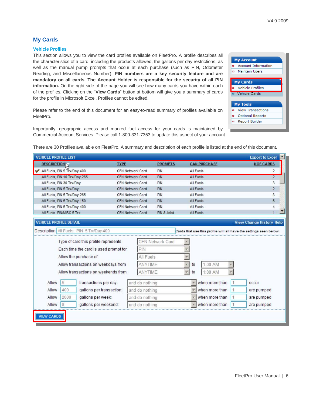# <span id="page-5-0"></span>**My Cards**

#### **Vehicle Profiles**

This section allows you to view the card profiles available on FleetPro. A profile describes all the characteristics of a card, including the products allowed, the gallons per day restrictions, as well as the manual pump prompts that occur at each purchase (such as PIN, Odometer Reading, and Miscellaneous Number). **PIN numbers are a key security feature and are mandatory on all cards**. **The Account Holder is responsible for the security of all PIN information.** On the right side of the page you will see how many cards you have within each of the profiles. Clicking on the "**View Cards**" button at bottom will give you a summary of cards for the profile in Microsoft Excel. Profiles cannot be edited.

Please refer to the end of this document for an easy-to-read summary of profiles available on FleetPro.

Importantly, geographic access and marked fuel access for your cards is maintained by Commercial Account Services. Please call 1-800-331-7353 to update this aspect of your account.



There are 30 Profiles available on FleetPro. A summary and description of each profile is listed at the end of this document.

| <b>VEHICLE PROFILE LIST</b>                  |                         |                |                     | <b>Export to Excel</b> |
|----------------------------------------------|-------------------------|----------------|---------------------|------------------------|
| <b>DESCRIPTIONN</b>                          | <b>TYPE</b>             | <b>PROMPTS</b> | <b>CAN PURCHASE</b> | # OF CARDS             |
| All Fuels, PIN 5 Trx/Day 400<br>$\checkmark$ | CFN Network Card        | PIN            | All Fuels           | 2                      |
| All Fuels, PIN 10 Trx/Day 265                | <b>CFN Network Card</b> | PIN            | All Fuels           | $\overline{2}$         |
| All Fuels, PIN 30 Trx/Day                    | CFN Network Card        | PIN            | All Fuels           | 3                      |
| All Fuels, PIN 5 Trx/Day                     | CFN Network Card        | <b>PIN</b>     | All Fuels           | $\overline{2}$         |
| All Fuels, PIN 5 Trx/Day 265                 | CFN Network Card        | PIN            | All Fuels           | 3                      |
| All Fuels, PIN 5 Trx/Day 150                 | <b>CFN Network Card</b> | PIN            | All Fuels           | 5                      |
| All Fuels, PIN 5 Trx/Day 400                 | CFN Network Card        | PIN            | All Fuels           | 4                      |
| All Fuels, PIN/MISC 5 Trx.                   | CEN Network Card        | PIN & Joh#     | All Fuels           |                        |

|       |      | Type of card this profile represents  | CFN Network Card |    |                |            |
|-------|------|---------------------------------------|------------------|----|----------------|------------|
|       |      | Each time the card is used prompt for | PIN              |    |                |            |
|       |      | Allow the purchase of                 | All Fuels        |    |                |            |
|       |      | Allow transactions on weekdays from   | ANYTIME          | to | 1:00 AM        |            |
|       |      | Allow transactions on weekends from   | ANYTIME          | to | 1:00 AM        |            |
| Allow | 5.   | transactions per day:                 | and do nothing   |    | when more than | occur      |
| Allow | 400  | gallons per transaction:              | and do nothing   |    | when more than | are pumped |
| Allow | 2000 | gallons per week:                     | and do nothing   |    | when more than | are pumped |
| Allow | 0    | gallons per weekend:                  | and do nothing   |    | when more than | are pumped |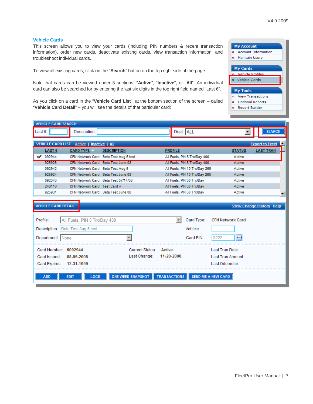#### <span id="page-6-0"></span>**Vehicle Cards**

This screen allows you to view your cards (including PIN numbers & recent transaction information), order new cards, deactivate existing cards, view transaction information, and troubleshoot individual cards.

To view all existing cards, click on the "Search" button on the top right side of the page.

Note that cards can be viewed under 3 sections: "Active", "Inactive", or "All". An individual card can also be searched for by entering the last six digits in the top right field named "Last 6".

As you click on a card in the "Vehicle Card List", at the bottom section of the screen - called "**Vehicle Card Detail**" – you will see the details of that particular card:

| <b>VEHICLE CARD SEARCH</b>               |                                                  |                                       |                     |                               |                           |                          |  |
|------------------------------------------|--------------------------------------------------|---------------------------------------|---------------------|-------------------------------|---------------------------|--------------------------|--|
| Last $6:$ $\parallel$                    | Description:                                     |                                       |                     | Dept: ALL                     |                           | <b>SEARCH</b>            |  |
|                                          |                                                  |                                       |                     |                               |                           |                          |  |
|                                          | <b>VEHICLE CARD LIST</b> Active   Inactive   All |                                       |                     |                               |                           | <b>Export to Excel</b>   |  |
| LAST <sub>6</sub>                        | <b>CARD TYPE</b>                                 | <b>DESCRIPTION</b>                    | <b>PROFILE</b>      |                               | <b>STATUS</b>             | <b>LAST TRAN</b>         |  |
| 092944                                   |                                                  | CFN Network Card Beta Test Aug 5 test |                     | All Fuels, PIN 5 Trx/Day 400  | Active                    |                          |  |
| 925925                                   | CFN Network Card Beta Test June 08               |                                       |                     | All Fuels, PIN 5 Trx/Day 400  | Active                    |                          |  |
| 092942                                   | CFN Network Card Beta Test Aug 5                 |                                       |                     | All Fuels, PIN 10 Trx/Day 265 | Active                    |                          |  |
| 925924                                   | CFN Network Card Beta Test June 08               |                                       |                     | All Fuels, PIN 10 Trx/Day 265 | Active                    |                          |  |
| 092343                                   |                                                  | CFN Network Card Beta Test 07/14/08   |                     | All Fuels, PIN 30 Trx/Day     | Active                    |                          |  |
| 248116                                   | CFN Network Card Test Card v                     |                                       |                     | All Fuels, PIN 30 Trx/Day     | Active                    |                          |  |
| 925931                                   | CFN Network Card Beta Test June 08               |                                       |                     | All Fuels, PIN 30 Trx/Day     | Active                    |                          |  |
|                                          |                                                  |                                       |                     |                               |                           |                          |  |
| <b>VEHICLE CARD DETAIL</b>               |                                                  |                                       |                     |                               |                           | View Change History Help |  |
|                                          |                                                  |                                       |                     |                               |                           |                          |  |
| Profile:                                 | All Fuels, PIN 5 Trx/Day 400                     |                                       |                     | Card Type:                    | <b>CFN Network Card</b>   |                          |  |
|                                          |                                                  |                                       |                     |                               |                           |                          |  |
| <b>Description:</b> Beta Test Aug 5 test |                                                  |                                       |                     | Vehicle:                      |                           |                          |  |
| Department: None                         |                                                  |                                       |                     | Card PIN:                     | œ<br>2222                 |                          |  |
|                                          |                                                  |                                       |                     |                               |                           |                          |  |
| Card Number: 6092944                     |                                                  | Current Status: Active                |                     |                               | Last Tran Date:           |                          |  |
| Card Issued: 08-05-2008                  |                                                  | Last Change:                          | 11-20-2008          |                               | Last Tran Amount:         |                          |  |
|                                          |                                                  |                                       |                     |                               |                           |                          |  |
| Card Expires: 12-31-1999                 |                                                  |                                       |                     |                               | Last Odometer:            |                          |  |
|                                          |                                                  |                                       |                     |                               |                           |                          |  |
| <b>ADD</b>                               | <b>LOCK</b><br><b>EDIT</b>                       | <b>ONE WEEK SNAPSHOT</b>              | <b>TRANSACTIONS</b> |                               | <b>SEND ME A NEW CARD</b> |                          |  |
|                                          |                                                  |                                       |                     |                               |                           |                          |  |

| <b>My Account</b>                        |
|------------------------------------------|
| >> Account Information                   |
| » Maintain Users                         |
|                                          |
| <b>My Cards</b>                          |
| - Vehicle Profiles                       |
| » Vehicle Cards                          |
|                                          |
| <b>My Tools</b>                          |
| <b>View Transactions</b><br>$\mathbf{v}$ |
| Optional Reports<br>$\rightarrow$        |
| Report Builder<br>$\gg$                  |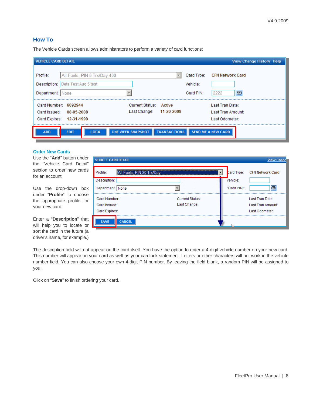# <span id="page-7-0"></span>**How To**

The Vehicle Cards screen allows administrators to perform a variety of card functions:

| <b>VEHICLE CARD DETAIL</b>                            |                                                      |                                                         |                                     | View Change History Help                               |
|-------------------------------------------------------|------------------------------------------------------|---------------------------------------------------------|-------------------------------------|--------------------------------------------------------|
| Profile:<br>Description:<br>Department: None          | All Fuels, PIN 5 Trx/Day 400<br>Beta Test Aug 5 test |                                                         | Card Type:<br>Vehicle:<br>Card PIN: | <b>CFN Network Card</b><br>$\circledcirc$<br>2222      |
| Card Number: 6092944<br>Card Issued:<br>Card Expires: | 08-05-2008<br>12-31-1999                             | Current Status:<br>Active<br>11-20-2008<br>Last Change: |                                     | Last Tran Date:<br>Last Tran Amount:<br>Last Odometer: |
| <b>ADD</b>                                            | <b>LOCK</b><br><b>EDIT</b>                           | <b>TRANSACTIONS</b><br><b>ONE WEEK SNAPSHOT</b>         |                                     | <b>SEND ME A NEW CARD</b>                              |

## **Order New Cards**

Use the "**Add**" button under the "Vehicle Card Detail" section to order new cards for an account.

Use the drop-down box under "**Profile**" to choose the appropriate profile for your new card.

Enter a "**Description**" that will help you to locate or sort the card in the future (a driver's name, for example.)

| <b>VEHICLE CARD DETAIL</b>                    |                                        |                                       | <b>View Chang</b>                                      |
|-----------------------------------------------|----------------------------------------|---------------------------------------|--------------------------------------------------------|
| Profile:<br>Description:<br>Department: None  | All Fuels, PIN 30 Trx/Day<br>▼         | Card Type:<br>Vehicle:<br>"Card PIN": | <b>CFN Network Card</b><br>$\circledcirc$              |
| Card Number:<br>Card Issued:<br>Card Expires: | <b>Current Status:</b><br>Last Change: |                                       | Last Tran Date:<br>Last Tran Amount:<br>Last Odometer: |
| <b>SAVE</b>                                   | <b>CANCEL</b>                          |                                       |                                                        |

The description field will not appear on the card itself. You have the option to enter a 4-digit vehicle number on your new card. This number will appear on your card as well as your cardlock statement. Letters or other characters will not work in the vehicle number field. You can also choose your own 4-digit PIN number. By leaving the field blank, a random PIN will be assigned to you.

Click on "**Save**" to finish ordering your card.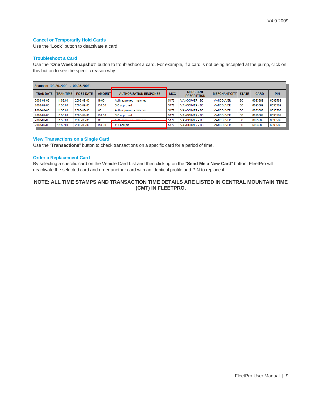## <span id="page-8-0"></span>**Cancel or Temporarily Hold Cards**

Use the "**Lock**" button to deactivate a card.

#### **Troubleshoot a Card**

Use the "**One Week Snapshot**" button to troubleshoot a card. For example, if a card is not being accepted at the pump, click on this button to see the specific reason why:

| Snapshot (08-29-2008 - 09-05-2008) |                  |                  |               |                               |            |                                       |                         |              |             |            |
|------------------------------------|------------------|------------------|---------------|-------------------------------|------------|---------------------------------------|-------------------------|--------------|-------------|------------|
| <b>TRAN DATE</b>                   | <b>TRAN TIME</b> | <b>POST DATE</b> | <b>AMOUNT</b> | <b>AUTHORIZATION RESPONSE</b> | <b>MCC</b> | <b>MERCHANT</b><br><b>DESCRIPTION</b> | <b>IMERCHANT CITY I</b> | <b>STATE</b> | <b>CARD</b> | <b>PIN</b> |
| 2008-09-03                         | 11:56:00         | 2008-09-03       | 19.00         | Auth approved - matched       | 5172       | VANCOUVER - BC                        | <b>VANCOUVER</b>        | <b>BC</b>    | 6093589     | 6093589    |
| 2008-09-03                         | 11:56:00         | 2008-09-03       | 150.00        | 000 approved                  | 5172       | VANCOUVER - BC                        | VANCOUVER               | <b>BC</b>    | 6093589     | 6093589    |
| 2008-09-03                         | 11:58:00         | 2008-09-03       | .00           | Auth approved - matched       | 5172       | VANCOUVER - BC                        | <b>VANCOUVER</b>        | <b>BC</b>    | 6093589     | 6093589    |
| 2008-09-03                         | 11:58:00         | 2008-09-03       | 150.00        | 000 approved                  | 5172       | VANCOUVER - BC                        | <b>VANCOUVER</b>        | <b>BC</b>    | 6093589     | 6093589    |
| 2008-09-03                         | 11:59:00         | 2008-09-03       | .00           | Auth announced matched        | 5172       | VANCOUVER - BC                        | <b>VANCOUVER</b>        | <b>BC</b>    | 6093589     | 6093589    |
| 2008-09-03                         | 11:59:00         | 2008-09-03       | 150.00        | 117 bad pin                   | 5172       | VANCOUVER - BC                        | VANCOUVER               | BC           | 6093589     | 6093589    |

#### **View Transactions on a Single Card**

Use the "**Transactions**" button to check transactions on a specific card for a period of time.

#### **Order a Replacement Card**

By selecting a specific card on the Vehicle Card List and then clicking on the "**Send Me a New Card**" button, FleetPro will deactivate the selected card and order another card with an identical profile and PIN to replace it.

# **NOTE: ALL TIME STAMPS AND TRANSACTION TIME DETAILS ARE LISTED IN CENTRAL MOUNTAIN TIME (CMT) IN FLEETPRO.**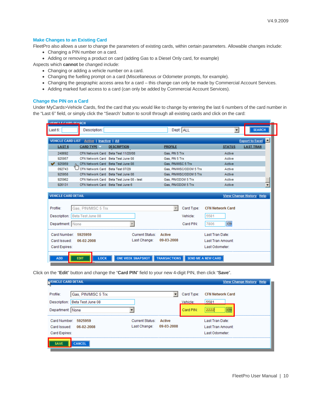#### <span id="page-9-0"></span>**Make Changes to an Existing Card**

FleetPro also allows a user to change the parameters of existing cards, within certain parameters. Allowable changes include:

- Changing a PIN number on a card.
- Adding or removing a product on card (adding Gas to a Diesel Only card, for example)
- Aspects which **cannot** be changed include:
	- Changing or adding a vehicle number on a card.
	- Changing the fuelling prompt on a card (Miscellaneous or Odometer prompts, for example).
	- Changing the geographic access area for a card this change can only be made by Commercial Account Services.
	- Adding marked fuel access to a card (can only be added by Commercial Account Services).

#### **Change the PIN on a Card**

Under MyCards>Vehicle Cards, find the card that you would like to change by entering the last 6 numbers of the card number in the "Last 6" field, or simply click the "Search' button to scroll through all existing cards and click on the card:

| <b>INFHICLE CAPD SEARCH</b>    |                                           |                                           |                          |                           |                          |
|--------------------------------|-------------------------------------------|-------------------------------------------|--------------------------|---------------------------|--------------------------|
| Last 6:                        | Description:                              |                                           | Dept: ALL                | $\blacktriangledown$      | <b>SEARCH</b>            |
|                                |                                           |                                           |                          |                           |                          |
|                                | VEHICLE CARD LIST Active   Inactive   All |                                           |                          |                           | <b>Export to Excel</b>   |
| LAST <sub>6</sub>              | <b>CARD TYPE</b>                          | <b>DESCRIPTION</b>                        | <b>PROFILE</b>           | <b>STATUS</b>             | <b>LAST TRAN</b>         |
| 248692                         | CFN Network Card Beta Test 11/20/08       |                                           | Gas, PIN 5 Trx           | Active                    |                          |
| 925957                         | CFN Network Card Beta Test June 08        |                                           | Gas, PIN 5 Trx           | Active                    |                          |
| 925959<br>s                    | ah, CFN Network Card Beta Test June 08    |                                           | Gas, PIN/MISC 5 Trx      | Active                    |                          |
| 092743                         | CFN Network Card Beta Test 07/29          |                                           | Gas, PIN/MISC/ODOM 5 Trx | Active                    |                          |
| 925958                         | CFN Network Card Beta Test June 08        |                                           | Gas, PIN/MISC/ODOM 5 Trx | Active                    |                          |
| 925962                         |                                           | CFN Network Card Beta Test June 08 - test | Gas, PIN/ODOM 5 Trx      | Active                    |                          |
| 926131                         | CFN Network Card Beta Test June 6         |                                           | Gas, PIN/ODOM 5 Trx      | Active                    |                          |
|                                |                                           |                                           |                          |                           |                          |
| <b>VEHICLE CARD DETAIL</b>     |                                           |                                           |                          |                           | View Change History Help |
|                                |                                           |                                           |                          |                           |                          |
|                                |                                           |                                           |                          |                           |                          |
| Profile:                       | Gas, PIN/MISC 5 Trx                       |                                           | Card Type:               | <b>CFN Network Card</b>   |                          |
| Description: Beta Test June 08 |                                           |                                           | Vehicle:                 | 5581                      |                          |
|                                |                                           |                                           |                          |                           |                          |
| Department: None               |                                           |                                           | Card PIN:                | $\circledcirc$<br>7806    |                          |
| Card Number: 5925959           |                                           | Current Status: Active                    |                          | Last Tran Date:           |                          |
|                                |                                           | Last Change:                              | 09-03-2008               |                           |                          |
| Card Issued:                   | 06-02-2008                                |                                           |                          | <b>Last Tran Amount:</b>  |                          |
| Card Expires:                  |                                           |                                           |                          | Last Odometer:            |                          |
| <b>ADD</b>                     | <b>LOCK</b><br><b>EDIT</b>                | <b>ONE WEEK SNAPSHOT</b>                  | <b>TRANSACTIONS</b>      | <b>SEND ME A NEW CARD</b> |                          |

Click on the "**Edit**" button and change the "**Card PIN**" field to your new 4-digit PIN, then click "**Save**".

| <b>VEHICLE CARD DETAIL</b><br>ЪŅ                                                           |                                        |                      |                                     | View Change History Help                                      |  |
|--------------------------------------------------------------------------------------------|----------------------------------------|----------------------|-------------------------------------|---------------------------------------------------------------|--|
| Gas, PIN/MISC 5 Trx<br>Profile:<br>Beta Test June 08<br>Description:  <br>Department: None |                                        |                      | Card Type:<br>Vehicle:<br>Card PIN: | <b>CFN Network Card</b><br>5581<br>œ<br>2222                  |  |
| Card Number: 5925959<br>Card Issued:<br>06-02-2008<br>Card Expires:                        | <b>Current Status:</b><br>Last Change: | Active<br>09-03-2008 |                                     | Last Tran Date:<br><b>Last Tran Amount:</b><br>Last Odometer: |  |
| <b>CANCEL</b><br><b>SAVE</b>                                                               |                                        |                      |                                     |                                                               |  |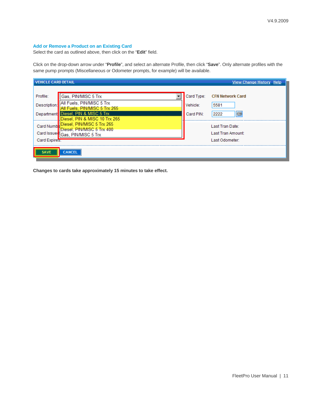#### <span id="page-10-0"></span>**Add or Remove a Product on an Existing Card**

Select the card as outlined above, then click on the "**Edit**" field.

Click on the drop-down arrow under "**Profile**", and select an alternate Profile, then click "**Save**". Only alternate profiles with the same pump prompts (Miscellaneous or Odometer prompts, for example) will be available.

| <b>VEHICLE CARD DETAIL</b><br>View Change History Help |                                                               |            |                         |  |  |  |
|--------------------------------------------------------|---------------------------------------------------------------|------------|-------------------------|--|--|--|
|                                                        |                                                               |            |                         |  |  |  |
| Profile:                                               | Gas, PIN/MISC 5 Trx                                           | Card Type: | <b>CFN Network Card</b> |  |  |  |
| Description:                                           | All Fuels, PIN/MISC 5 Trx<br>All Fuels, PIN/MISC 5 Trx 265    | Vehicle:   | 5581                    |  |  |  |
| Department                                             | Diesel, PIN & MISC 5 Trx<br>Diesel, PIN & MISC 10 Trx 265     | Card PIN:  | $\circ$<br>2222         |  |  |  |
|                                                        | Card NumberDiesel, PIN/MISC 5 Trx 265                         |            | Last Tran Date:         |  |  |  |
|                                                        | Diesel, PIN/MISC 5 Trx 400<br>Card Issued Gas, PIN/MISC 5 Trx |            | Last Tran Amount:       |  |  |  |
| Card Expires:                                          |                                                               |            | Last Odometer:          |  |  |  |
| <b>SAVE</b>                                            | <b>CANCEL</b>                                                 |            |                         |  |  |  |

**Changes to cards take approximately 15 minutes to take effect.**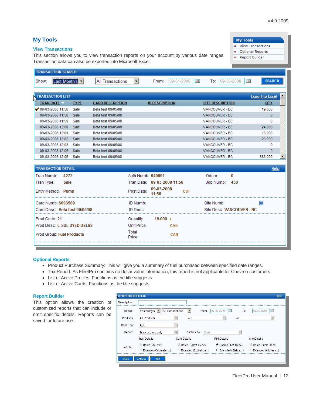<span id="page-11-0"></span>

| <b>My Tools</b><br><b>My Tools</b><br><b>View Transactions</b><br><b>View Transactions</b>                                                                                                                     |                         |                             |                           |            |            |                         |  |                         |               |   |
|----------------------------------------------------------------------------------------------------------------------------------------------------------------------------------------------------------------|-------------------------|-----------------------------|---------------------------|------------|------------|-------------------------|--|-------------------------|---------------|---|
| <b>Optional Reports</b><br>This section allows you to view transaction reports on your account by various date ranges.<br>Report Builder<br>yy.<br>Transaction data can also be exported into Microsoft Excel. |                         |                             |                           |            |            |                         |  |                         |               |   |
| <b>TRANSACTION SEARCH</b>                                                                                                                                                                                      |                         |                             |                           |            |            |                         |  |                         |               |   |
| Last Month's<br>Show:                                                                                                                                                                                          | All Transactions        | ▾                           | From:                     | 09-01-2008 | <b>Fa</b>  | To:                     |  | 09-30-2008<br><b>Fa</b> | <b>SEARCH</b> |   |
| <b>TRANSACTION LIST</b><br><b>Export to Excel</b>                                                                                                                                                              |                         |                             |                           |            |            |                         |  |                         |               |   |
| <b>TRAN DATE</b><br><b>TYPE</b>                                                                                                                                                                                | <b>CARD DESCRIPTION</b> |                             | <b>ID DESCRIPTION</b>     |            |            | <b>SITE DESCRIPTION</b> |  |                         | QTY           |   |
| $\bullet$ 09-03-2008 11:56<br>Sale                                                                                                                                                                             | Beta test 09/05/08      |                             |                           |            |            | VANCOUVER - BC          |  |                         | 19,000        |   |
| 09-03-2008 11:58<br>Sale                                                                                                                                                                                       | Beta test 09/05/08      |                             |                           |            |            | VANCOUVER - BC          |  |                         | $\mathbf{0}$  |   |
| 09-03-2008 11:59<br>Sale                                                                                                                                                                                       | Beta test 09/05/08      |                             |                           |            |            | VANCOUVER - BC          |  |                         | o             |   |
| 09-03-2008 12:00<br>Sale                                                                                                                                                                                       | Beta test 09/05/08      |                             |                           |            |            | VANCOUVER - BC          |  |                         | 24.000        |   |
| 09-03-2008 12:01<br>Sale                                                                                                                                                                                       | Beta test 09/05/08      |                             |                           |            |            | VANCOUVER - BC          |  |                         | 13,000        |   |
| 09-03-2008 12:02<br>Sale                                                                                                                                                                                       | Beta test 09/05/08      |                             |                           |            |            | VANCOUVER - BC          |  |                         | 20,000        |   |
| 09-03-2008 12:03<br>Sale                                                                                                                                                                                       | Beta test 09/05/08      |                             |                           |            |            | VANCOUVER - BC          |  |                         | 0             |   |
| 09-03-2008 12:05<br>Sale                                                                                                                                                                                       | Beta test 09/05/08      |                             |                           |            |            | VANCOUVER - BC          |  |                         | $\mathbf{0}$  |   |
| 09-03-2008 12:06<br>Sale                                                                                                                                                                                       | Beta test 09/05/08      |                             |                           |            |            | VANCOUVER - BC          |  |                         | 583.000       | ▼ |
| <b>TRANSACTION DETAIL</b>                                                                                                                                                                                      |                         |                             |                           |            |            |                         |  |                         | Help          |   |
| Tran Numb:<br>4272                                                                                                                                                                                             |                         | Auth Numb: 640691           |                           |            |            | Odom:                   |  | 0                       |               |   |
| Tran Type:<br>Sale                                                                                                                                                                                             |                         | Tran Date: 09-03-2008 11:56 |                           |            |            | Job Numb:               |  | 430                     |               |   |
| Entry Method: Pump                                                                                                                                                                                             |                         | Post Date:                  | 09-03-2008<br>11:56       |            | <b>CST</b> |                         |  |                         |               |   |
| Card Numb: 6093589                                                                                                                                                                                             |                         | ID Numb:                    |                           |            |            | Site Numb:              |  |                         |               |   |
| Card Desc: Beta test 09/05/08                                                                                                                                                                                  | ID Desc:                |                             | Site Desc: VANCOUVER - BC |            |            |                         |  |                         |               |   |
| Prod Code: 21                                                                                                                                                                                                  |                         | Quantity:                   | 19.000 $L$                |            |            |                         |  |                         |               |   |
| Prod Desc: L-SUL DYED DSL#2                                                                                                                                                                                    | Unit Price:             |                             | CAN                       |            |            |                         |  |                         |               |   |
| <b>Prod Group: Fuel Products</b>                                                                                                                                                                               | Total<br>Price:         |                             | CAN                       |            |            |                         |  |                         |               |   |
|                                                                                                                                                                                                                |                         |                             |                           |            |            |                         |  |                         |               |   |

#### **Optional Reports**

- Product Purchase Summary: This will give you a summary of fuel purchased between specified date ranges.
- Tax Report: As FleetPro contains no dollar value information, this report is not applicable for Chevron customers.
- List of Active Profiles: Functions as the title suggests.
- List of Active Cards: Functions as the title suggests.

#### **Report Builder**

This option allows the creation of customized reports that can include or omit specific details. Reports can be saved for future use.

| Select:    | <b>All Transactions</b><br>Yesterday's<br>$\overline{\phantom{a}}$ | From:<br>$\blacktriangledown$   | 09-30-2008<br><b>Tar</b><br>To: | E<br>09-30-2008              |
|------------|--------------------------------------------------------------------|---------------------------------|---------------------------------|------------------------------|
| Products:  | All Products                                                       | ALL<br>$\overline{\phantom{a}}$ | ALL                             |                              |
| Card Dept: | ALL                                                                |                                 |                                 |                              |
| Report:    | Transactions only                                                  | Subtotal by:<br>Card            |                                 |                              |
|            | <b>Tran Details</b>                                                | Card Details                    | <b>PIN Details</b>              | Site Details                 |
| Include:   | C Basic (Qty, Amt)                                                 | <b>6</b> Basic (Card#, Desc)    | C Basic (PIN#, Desc)            | <b>C</b> Basic (Site#, Desc) |
|            | C Extended(Odometer)                                               | C Extended (Expiration)         | C Extended (Status)             | C Extended (Address)         |